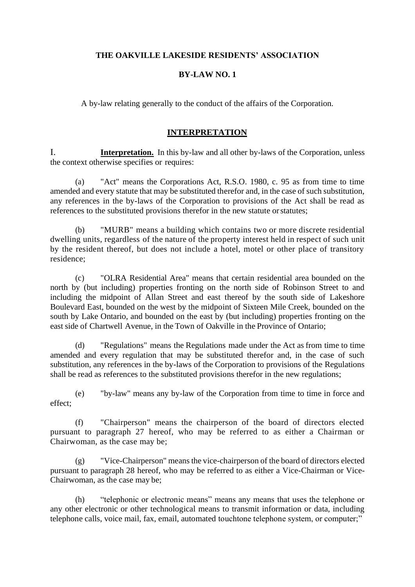### **THE OAKVILLE LAKESIDE RESIDENTS' ASSOCIATION**

### **BY-LAW NO. 1**

A by-law relating generally to the conduct of the affairs of the Corporation.

#### **INTERPRETATION**

I. **Interpretation.** In this by-law and all other by-laws of the Corporation, unless the context otherwise specifies or requires:

(a) "Act" means the Corporations Act, R.S.O. 1980, c. 95 as from time to time amended and every statute that may be substituted therefor and, in the case of such substitution, any references in the by-laws of the Corporation to provisions of the Act shall be read as references to the substituted provisions therefor in the new statute orstatutes;

(b) "MURB" means a building which contains two or more discrete residential dwelling units, regardless of the nature of the property interest held in respect of such unit by the resident thereof, but does not include a hotel, motel or other place of transitory residence;

(c) "OLRA Residential Area" means that certain residential area bounded on the north by (but including) properties fronting on the north side of Robinson Street to and including the midpoint of Allan Street and east thereof by the south side of Lakeshore Boulevard East, bounded on the west by the midpoint of Sixteen Mile Creek, bounded on the south by Lake Ontario, and bounded on the east by (but including) properties fronting on the east side of Chartwell Avenue, in the Town of Oakville in the Province of Ontario;

(d) "Regulations" means the Regulations made under the Act asfrom time to time amended and every regulation that may be substituted therefor and, in the case of such substitution, any references in the by-laws of the Corporation to provisions of the Regulations shall be read as references to the substituted provisions therefor in the new regulations;

(e) "by-law" means any by-law of the Corporation from time to time in force and effect;

(f) "Chairperson" means the chairperson of the board of directors elected pursuant to paragraph 27 hereof, who may be referred to as either a Chairman or Chairwoman, as the case may be;

(g) "Vice-Chairperson" means the vice-chairperson of the board of directors elected pursuant to paragraph 28 hereof, who may be referred to as either a Vice-Chairman or Vice-Chairwoman, as the case may be;

(h) "telephonic or electronic means" means any means that uses the telephone or any other electronic or other technological means to transmit information or data, including telephone calls, voice mail, fax, email, automated touchtone telephone system, or computer;"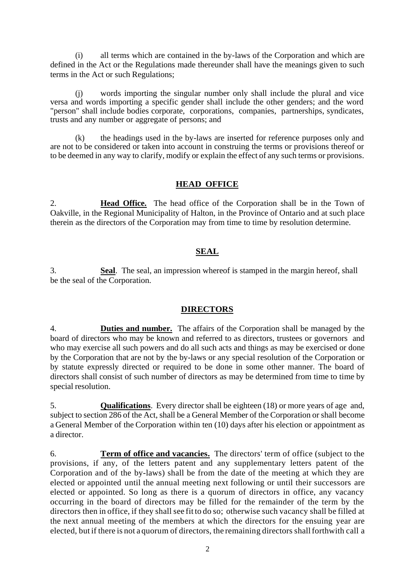(i) all terms which are contained in the by-laws of the Corporation and which are defined in the Act or the Regulations made thereunder shall have the meanings given to such terms in the Act or such Regulations;

(j) words importing the singular number only shall include the plural and vice versa and words importing a specific gender shall include the other genders; and the word "person" shall include bodies corporate, corporations, companies, partnerships, syndicates, trusts and any number or aggregate of persons; and

(k) the headings used in the by-laws are inserted for reference purposes only and are not to be considered or taken into account in construing the terms or provisions thereof or to be deemed in any way to clarify, modify or explain the effect of any such terms or provisions.

### **HEAD OFFICE**

2. **Head Office.** The head office of the Corporation shall be in the Town of Oakville, in the Regional Municipality of Halton, in the Province of Ontario and at such place therein as the directors of the Corporation may from time to time by resolution determine.

### **SEAL**

3. **Seal**. The seal, an impression whereof is stamped in the margin hereof, shall be the seal of the Corporation.

#### **DIRECTORS**

4. **Duties and number.** The affairs of the Corporation shall be managed by the board of directors who may be known and referred to as directors, trustees or governors and who may exercise all such powers and do all such acts and things as may be exercised or done by the Corporation that are not by the by-laws or any special resolution of the Corporation or by statute expressly directed or required to be done in some other manner. The board of directors shall consist of such number of directors as may be determined from time to time by special resolution.

5. **Qualifications**. Every director shall be eighteen (18) or more years of age and, subject to section 286 of the Act, shall be a General Member of the Corporation or shall become a General Member of the Corporation within ten (10) days after his election or appointment as a director.

6. **Term of office and vacancies.** The directors' term of office (subject to the provisions, if any, of the letters patent and any supplementary letters patent of the Corporation and of the by-laws) shall be from the date of the meeting at which they are elected or appointed until the annual meeting next following or until their successors are elected or appointed. So long as there is a quorum of directors in office, any vacancy occurring in the board of directors may be filled for the remainder of the term by the directors then in office, if they shall see fit to do so; otherwise such vacancy shall be filled at the next annual meeting of the members at which the directors for the ensuing year are elected, but if there is not a quorum of directors, the remaining directors shallforthwith call a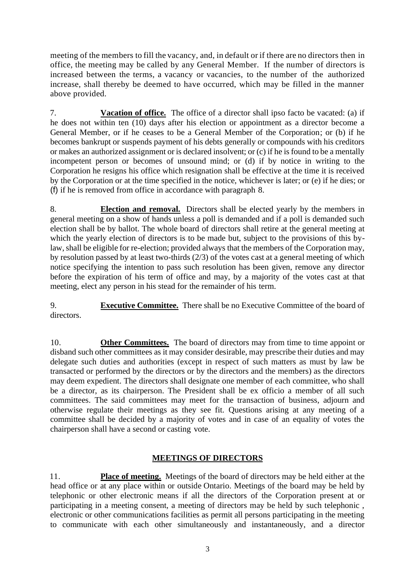meeting of the members to fill the vacancy, and, in default or if there are no directors then in office, the meeting may be called by any General Member. If the number of directors is increased between the terms, a vacancy or vacancies, to the number of the authorized increase, shall thereby be deemed to have occurred, which may be filled in the manner above provided.

7. **Vacation of office.** The office of a director shall ipso facto be vacated: (a) if he does not within ten (10) days after his election or appointment as a director become a General Member, or if he ceases to be a General Member of the Corporation; or (b) if he becomes bankrupt or suspends payment of his debts generally or compounds with his creditors or makes an authorized assignment or is declared insolvent; or (c) if he is found to be a mentally incompetent person or becomes of unsound mind; or (d) if by notice in writing to the Corporation he resigns his office which resignation shall be effective at the time it is received by the Corporation or at the time specified in the notice, whichever is later; or (e) if he dies; or (f) if he is removed from office in accordance with paragraph 8.

8. **Election and removal.** Directors shall be elected yearly by the members in general meeting on a show of hands unless a poll is demanded and if a poll is demanded such election shall be by ballot. The whole board of directors shall retire at the general meeting at which the yearly election of directors is to be made but, subject to the provisions of this bylaw, shall be eligible for re-election; provided always that the members of the Corporation may, by resolution passed by at least two-thirds (2/3) of the votes cast at a general meeting of which notice specifying the intention to pass such resolution has been given, remove any director before the expiration of his term of office and may, by a majority of the votes cast at that meeting, elect any person in his stead for the remainder of his term.

9. **Executive Committee.** There shall be no Executive Committee of the board of directors.

10. **Other Committees.** The board of directors may from time to time appoint or disband such other committees as it may consider desirable, may prescribe their duties and may delegate such duties and authorities (except in respect of such matters as must by law be transacted or performed by the directors or by the directors and the members) as the directors may deem expedient. The directors shall designate one member of each committee, who shall be a director, as its chairperson. The President shall be ex officio a member of all such committees. The said committees may meet for the transaction of business, adjourn and otherwise regulate their meetings as they see fit. Questions arising at any meeting of a committee shall be decided by a majority of votes and in case of an equality of votes the chairperson shall have a second or casting vote.

## **MEETINGS OF DIRECTORS**

11. **Place of meeting.** Meetings of the board of directors may be held either at the head office or at any place within or outside Ontario. Meetings of the board may be held by telephonic or other electronic means if all the directors of the Corporation present at or participating in a meeting consent, a meeting of directors may be held by such telephonic , electronic or other communications facilities as permit all persons participating in the meeting to communicate with each other simultaneously and instantaneously, and a director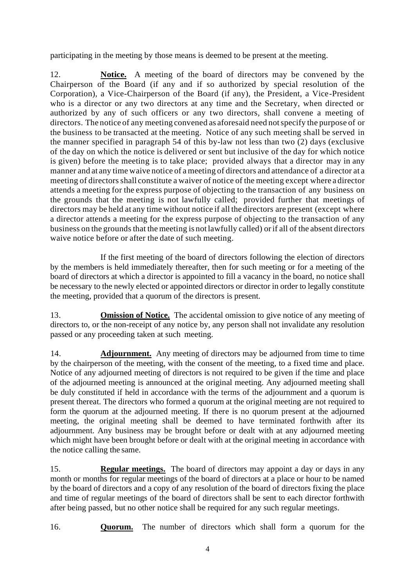participating in the meeting by those means is deemed to be present at the meeting.

12. **Notice.** A meeting of the board of directors may be convened by the Chairperson of the Board (if any and if so authorized by special resolution of the Corporation), a Vice-Chairperson of the Board (if any), the President, a Vice-President who is a director or any two directors at any time and the Secretary, when directed or authorized by any of such officers or any two directors, shall convene a meeting of directors. The notice of any meeting convened as aforesaid need notspecify the purpose of or the business to be transacted at the meeting. Notice of any such meeting shall be served in the manner specified in paragraph 54 of this by-law not less than two (2) days (exclusive of the day on which the notice is delivered or sent but inclusive of the day for which notice is given) before the meeting is to take place; provided always that a director may in any manner and at any time waive notice of a meeting of directors and attendance of a director at a meeting of directors shall constitute a waiver of notice of the meeting except where a director attends a meeting for the express purpose of objecting to the transaction of any business on the grounds that the meeting is not lawfully called; provided further that meetings of directors may be held at any time without notice if all the directors are present (except where a director attends a meeting for the express purpose of objecting to the transaction of any business on the grounds that the meeting is not lawfully called) or if all of the absent directors waive notice before or after the date of such meeting.

If the first meeting of the board of directors following the election of directors by the members is held immediately thereafter, then for such meeting or for a meeting of the board of directors at which a director is appointed to fill a vacancy in the board, no notice shall be necessary to the newly elected or appointed directors or director in order to legally constitute the meeting, provided that a quorum of the directors is present.

13. **Omission of Notice.** The accidental omission to give notice of any meeting of directors to, or the non-receipt of any notice by, any person shall not invalidate any resolution passed or any proceeding taken at such meeting.

14. **Adjournment.** Any meeting of directors may be adjourned from time to time by the chairperson of the meeting, with the consent of the meeting, to a fixed time and place. Notice of any adjourned meeting of directors is not required to be given if the time and place of the adjourned meeting is announced at the original meeting. Any adjourned meeting shall be duly constituted if held in accordance with the terms of the adjournment and a quorum is present thereat. The directors who formed a quorum at the original meeting are not required to form the quorum at the adjourned meeting. If there is no quorum present at the adjourned meeting, the original meeting shall be deemed to have terminated forthwith after its adjournment. Any business may be brought before or dealt with at any adjourned meeting which might have been brought before or dealt with at the original meeting in accordance with the notice calling the same.

15. **Regular meetings.** The board of directors may appoint a day or days in any month or months for regular meetings of the board of directors at a place or hour to be named by the board of directors and a copy of any resolution of the board of directors fixing the place and time of regular meetings of the board of directors shall be sent to each director forthwith after being passed, but no other notice shall be required for any such regular meetings.

16. **Quorum.** The number of directors which shall form a quorum for the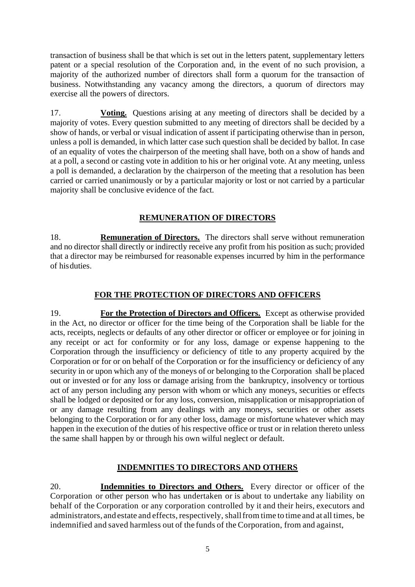transaction of business shall be that which is set out in the letters patent, supplementary letters patent or a special resolution of the Corporation and, in the event of no such provision, a majority of the authorized number of directors shall form a quorum for the transaction of business. Notwithstanding any vacancy among the directors, a quorum of directors may exercise all the powers of directors.

17. **Voting.** Questions arising at any meeting of directors shall be decided by a majority of votes. Every question submitted to any meeting of directors shall be decided by a show of hands, or verbal or visual indication of assent if participating otherwise than in person, unless a poll is demanded, in which latter case such question shall be decided by ballot. In case of an equality of votes the chairperson of the meeting shall have, both on a show of hands and at a poll, a second or casting vote in addition to his or her original vote. At any meeting, unless a poll is demanded, a declaration by the chairperson of the meeting that a resolution has been carried or carried unanimously or by a particular majority or lost or not carried by a particular majority shall be conclusive evidence of the fact.

# **REMUNERATION OF DIRECTORS**

18. **Remuneration of Directors.** The directors shall serve without remuneration and no director shall directly or indirectly receive any profit from his position as such; provided that a director may be reimbursed for reasonable expenses incurred by him in the performance of hisduties.

# **FOR THE PROTECTION OF DIRECTORS AND OFFICERS**

19. **For the Protection of Directors and Officers.** Except as otherwise provided in the Act, no director or officer for the time being of the Corporation shall be liable for the acts, receipts, neglects or defaults of any other director or officer or employee or for joining in any receipt or act for conformity or for any loss, damage or expense happening to the Corporation through the insufficiency or deficiency of title to any property acquired by the Corporation or for or on behalf of the Corporation or for the insufficiency or deficiency of any security in or upon which any of the moneys of or belonging to the Corporation shall be placed out or invested or for any loss or damage arising from the bankruptcy, insolvency or tortious act of any person including any person with whom or which any moneys, securities or effects shall be lodged or deposited or for any loss, conversion, misapplication or misappropriation of or any damage resulting from any dealings with any moneys, securities or other assets belonging to the Corporation or for any other loss, damage or misfortune whatever which may happen in the execution of the duties of his respective office or trust or in relation thereto unless the same shall happen by or through his own wilful neglect or default.

# **INDEMNITIES TO DIRECTORS AND OTHERS**

20. **Indemnities to Directors and Others.** Every director or officer of the Corporation or other person who has undertaken or is about to undertake any liability on behalf of the Corporation or any corporation controlled by it and their heirs, executors and administrators, and estate and effects, respectively, shallfrom time to time and at all times, be indemnified and saved harmless out of the funds of the Corporation, from and against,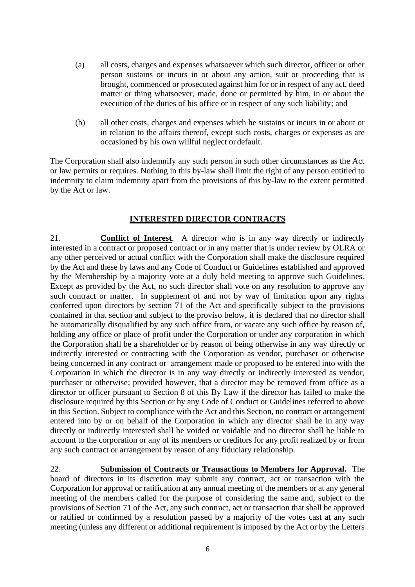- (a) all costs, charges and expenses whatsoever which such director, officer or other person sustains or incurs in or about any action, suit or proceeding that is brought, commenced or prosecuted against him for or in respect of any act, deed matter or thing whatsoever, made, done or permitted by him, in or about the execution of the duties of his office or in respect of any such liability; and
- (b) all other costs, charges and expenses which he sustains or incurs in or about or in relation to the affairs thereof, except such costs, charges or expenses as are occasioned by his own willful neglect or default.

The Corporation shall also indemnify any such person in such other circumstances as the Act or law permits or requires. Nothing in this by-law shall limit the right of any person entitled to indemnity to claim indemnity apart from the provisions of this by-law to the extent permitted by the Act or law.

### **INTERESTED DIRECTOR CONTRACTS**

21. **Conflict of Interest**. A director who is in any way directly or indirectly interested in a contract or proposed contract or in any matter that is under review by OLRA or any other perceived or actual conflict with the Corporation shall make the disclosure required by the Act and these by laws and any Code of Conduct or Guidelines established and approved by the Membership by a majority vote at a duly held meeting to approve such Guidelines. Except as provided by the Act, no such director shall vote on any resolution to approve any such contract or matter. In supplement of and not by way of limitation upon any rights conferred upon directors by section 71 of the Act and specifically subject to the provisions contained in that section and subject to the proviso below, it is declared that no director shall be automatically disqualified by any such office from, or vacate any such office by reason of, holding any office or place of profit under the Corporation or under any corporation in which the Corporation shall be a shareholder or by reason of being otherwise in any way directly or indirectly interested or contracting with the Corporation as vendor, purchaser or otherwise being concerned in any contract or arrangement made or proposed to be entered into with the Corporation in which the director is in any way directly or indirectly interested as vendor, purchaser or otherwise; provided however, that a director may be removed from office as a director or officer pursuant to Section 8 of this By Law if the director has failed to make the disclosure required by this Section or by any Code of Conduct or Guidelines referred to above in this Section. Subject to compliance with the Act and this Section, no contract or arrangement entered into by or on behalf of the Corporation in which any director shall be in any way directly or indirectly interested shall be voided or voidable and no director shall be liable to account to the corporation or any of its members or creditors for any profit realized by or from any such contract or arrangement by reason of any fiduciary relationship.

22. **Submission of Contracts or Transactions to Members for Approval.** The board of directors in its discretion may submit any contract, act or transaction with the Corporation for approval or ratification at any annual meeting of the members or at any general meeting of the members called for the purpose of considering the same and, subject to the provisions of Section 71 of the Act, any such contract, act or transaction that shall be approved or ratified or confirmed by a resolution passed by a majority of the votes cast at any such meeting (unless any different or additional requirement is imposed by the Act or by the Letters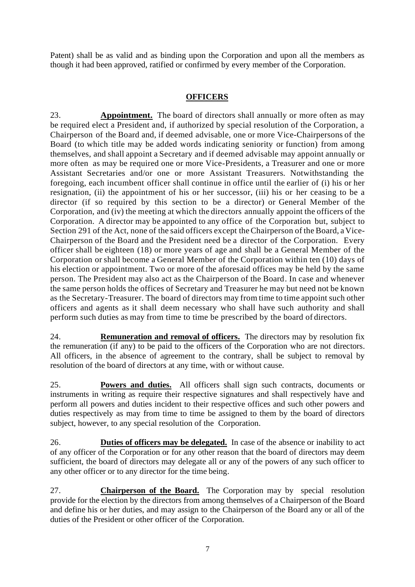Patent) shall be as valid and as binding upon the Corporation and upon all the members as though it had been approved, ratified or confirmed by every member of the Corporation.

## **OFFICERS**

23. **Appointment.** The board of directors shall annually or more often as may be required elect a President and, if authorized by special resolution of the Corporation, a Chairperson of the Board and, if deemed advisable, one or more Vice-Chairpersons of the Board (to which title may be added words indicating seniority or function) from among themselves, and shall appoint a Secretary and if deemed advisable may appoint annually or more often as may be required one or more Vice-Presidents, a Treasurer and one or more Assistant Secretaries and/or one or more Assistant Treasurers. Notwithstanding the foregoing, each incumbent officer shall continue in office until the earlier of (i) his or her resignation, (ii) the appointment of his or her successor, (iii) his or her ceasing to be a director (if so required by this section to be a director) or General Member of the Corporation, and (iv) the meeting at which the directors annually appoint the officers of the Corporation. A director may be appointed to any office of the Corporation but, subject to Section 291 of the Act, none of the said officers except the Chairperson of the Board, a Vice-Chairperson of the Board and the President need be a director of the Corporation. Every officer shall be eighteen (18) or more years of age and shall be a General Member of the Corporation or shall become a General Member of the Corporation within ten (10) days of his election or appointment. Two or more of the aforesaid offices may be held by the same person. The President may also act as the Chairperson of the Board. In case and whenever the same person holds the offices of Secretary and Treasurer he may but need not be known as the Secretary-Treasurer. The board of directors may from time to time appoint such other officers and agents as it shall deem necessary who shall have such authority and shall perform such duties as may from time to time be prescribed by the board of directors.

24. **Remuneration and removal of officers.** The directors may by resolution fix the remuneration (if any) to be paid to the officers of the Corporation who are not directors. All officers, in the absence of agreement to the contrary, shall be subject to removal by resolution of the board of directors at any time, with or without cause.

25. **Powers and duties.** All officers shall sign such contracts, documents or instruments in writing as require their respective signatures and shall respectively have and perform all powers and duties incident to their respective offices and such other powers and duties respectively as may from time to time be assigned to them by the board of directors subject, however, to any special resolution of the Corporation.

26. **Duties of officers may be delegated.** In case of the absence or inability to act of any officer of the Corporation or for any other reason that the board of directors may deem sufficient, the board of directors may delegate all or any of the powers of any such officer to any other officer or to any director for the time being.

27. **Chairperson of the Board.** The Corporation may by special resolution provide for the election by the directors from among themselves of a Chairperson of the Board and define his or her duties, and may assign to the Chairperson of the Board any or all of the duties of the President or other officer of the Corporation.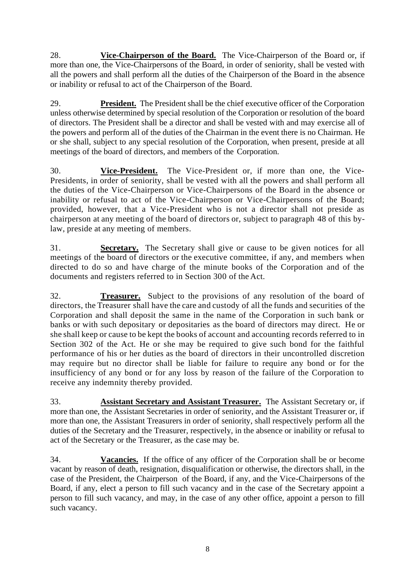28. **Vice-Chairperson of the Board.** The Vice-Chairperson of the Board or, if more than one, the Vice-Chairpersons of the Board, in order of seniority, shall be vested with all the powers and shall perform all the duties of the Chairperson of the Board in the absence or inability or refusal to act of the Chairperson of the Board.

29. **President.** The President shall be the chief executive officer of the Corporation unless otherwise determined by special resolution of the Corporation or resolution of the board of directors. The President shall be a director and shall be vested with and may exercise all of the powers and perform all of the duties of the Chairman in the event there is no Chairman. He or she shall, subject to any special resolution of the Corporation, when present, preside at all meetings of the board of directors, and members of the Corporation.

30. **Vice-President.** The Vice-President or, if more than one, the Vice-Presidents, in order of seniority, shall be vested with all the powers and shall perform all the duties of the Vice-Chairperson or Vice-Chairpersons of the Board in the absence or inability or refusal to act of the Vice-Chairperson or Vice-Chairpersons of the Board; provided, however, that a Vice-President who is not a director shall not preside as chairperson at any meeting of the board of directors or, subject to paragraph 48 of this bylaw, preside at any meeting of members.

31. **Secretary.** The Secretary shall give or cause to be given notices for all meetings of the board of directors or the executive committee, if any, and members when directed to do so and have charge of the minute books of the Corporation and of the documents and registers referred to in Section 300 of the Act.

32. **Treasurer.** Subject to the provisions of any resolution of the board of directors, the Treasurer shall have the care and custody of all the funds and securities of the Corporation and shall deposit the same in the name of the Corporation in such bank or banks or with such depositary or depositaries as the board of directors may direct. He or she shall keep or cause to be kept the books of account and accounting records referred to in Section 302 of the Act. He or she may be required to give such bond for the faithful performance of his or her duties as the board of directors in their uncontrolled discretion may require but no director shall be liable for failure to require any bond or for the insufficiency of any bond or for any loss by reason of the failure of the Corporation to receive any indemnity thereby provided.

33. **Assistant Secretary and Assistant Treasurer.** The Assistant Secretary or, if more than one, the Assistant Secretaries in order of seniority, and the Assistant Treasurer or, if more than one, the Assistant Treasurers in order of seniority, shall respectively perform all the duties of the Secretary and the Treasurer, respectively, in the absence or inability or refusal to act of the Secretary or the Treasurer, as the case may be.

34. **Vacancies.** If the office of any officer of the Corporation shall be or become vacant by reason of death, resignation, disqualification or otherwise, the directors shall, in the case of the President, the Chairperson of the Board, if any, and the Vice-Chairpersons of the Board, if any, elect a person to fill such vacancy and in the case of the Secretary appoint a person to fill such vacancy, and may, in the case of any other office, appoint a person to fill such vacancy.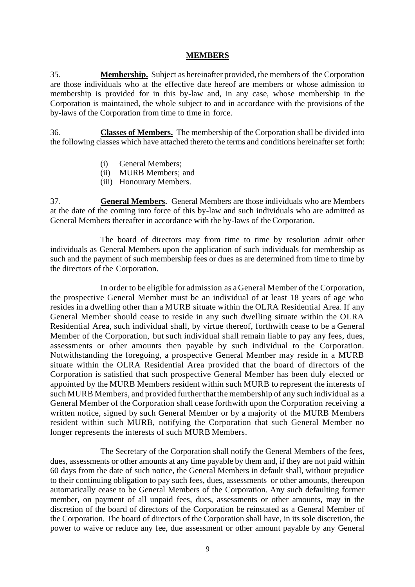#### **MEMBERS**

35. **Membership.** Subject as hereinafter provided, the members of the Corporation are those individuals who at the effective date hereof are members or whose admission to membership is provided for in this by-law and, in any case, whose membership in the Corporation is maintained, the whole subject to and in accordance with the provisions of the by-laws of the Corporation from time to time in force.

36. **Classes of Members.** The membership of the Corporation shall be divided into the following classes which have attached thereto the terms and conditions hereinafter set forth:

- (i) General Members;
- (ii) MURB Members; and
- (iii) Honourary Members.

37. **General Members.** General Members are those individuals who are Members at the date of the coming into force of this by-law and such individuals who are admitted as General Members thereafter in accordance with the by-laws of the Corporation.

The board of directors may from time to time by resolution admit other individuals as General Members upon the application of such individuals for membership as such and the payment of such membership fees or dues as are determined from time to time by the directors of the Corporation.

In order to be eligible for admission as a General Member of the Corporation, the prospective General Member must be an individual of at least 18 years of age who resides in a dwelling other than a MURB situate within the OLRA Residential Area. If any General Member should cease to reside in any such dwelling situate within the OLRA Residential Area, such individual shall, by virtue thereof, forthwith cease to be a General Member of the Corporation, but such individual shall remain liable to pay any fees, dues, assessments or other amounts then payable by such individual to the Corporation. Notwithstanding the foregoing, a prospective General Member may reside in a MURB situate within the OLRA Residential Area provided that the board of directors of the Corporation is satisfied that such prospective General Member has been duly elected or appointed by the MURB Members resident within such MURB to represent the interests of such MURB Members, and provided further that the membership of any such individual as a General Member of the Corporation shall cease forthwith upon the Corporation receiving a written notice, signed by such General Member or by a majority of the MURB Members resident within such MURB, notifying the Corporation that such General Member no longer represents the interests of such MURB Members.

The Secretary of the Corporation shall notify the General Members of the fees, dues, assessments or other amounts at any time payable by them and, if they are not paid within 60 days from the date of such notice, the General Members in default shall, without prejudice to their continuing obligation to pay such fees, dues, assessments or other amounts, thereupon automatically cease to be General Members of the Corporation. Any such defaulting former member, on payment of all unpaid fees, dues, assessments or other amounts, may in the discretion of the board of directors of the Corporation be reinstated as a General Member of the Corporation. The board of directors of the Corporation shall have, in its sole discretion, the power to waive or reduce any fee, due assessment or other amount payable by any General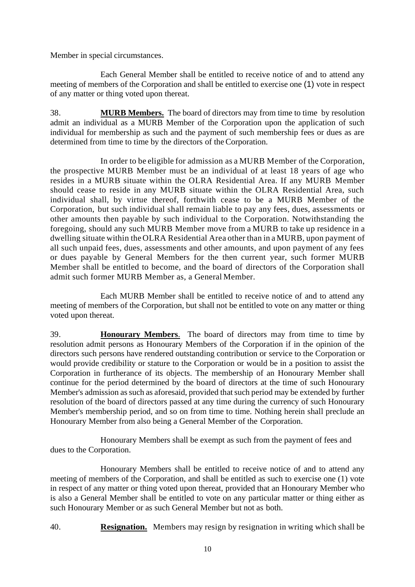Member in special circumstances.

Each General Member shall be entitled to receive notice of and to attend any meeting of members of the Corporation and shall be entitled to exercise one (1) vote in respect of any matter or thing voted upon thereat.

38. **MURB Members.** The board of directors may from time to time by resolution admit an individual as a MURB Member of the Corporation upon the application of such individual for membership as such and the payment of such membership fees or dues as are determined from time to time by the directors of the Corporation.

In order to be eligible for admission as a MURB Member of the Corporation, the prospective MURB Member must be an individual of at least 18 years of age who resides in a MURB situate within the OLRA Residential Area. If any MURB Member should cease to reside in any MURB situate within the OLRA Residential Area, such individual shall, by virtue thereof, forthwith cease to be a MURB Member of the Corporation, but such individual shall remain liable to pay any fees, dues, assessments or other amounts then payable by such individual to the Corporation. Notwithstanding the foregoing, should any such MURB Member move from a MURB to take up residence in a dwelling situate within theOLRA Residential Area other than in a MURB, upon payment of all such unpaid fees, dues, assessments and other amounts, and upon payment of any fees or dues payable by General Members for the then current year, such former MURB Member shall be entitled to become, and the board of directors of the Corporation shall admit such former MURB Member as, a General Member.

Each MURB Member shall be entitled to receive notice of and to attend any meeting of members of the Corporation, but shall not be entitled to vote on any matter or thing voted upon thereat.

39. **Honourary Members**. The board of directors may from time to time by resolution admit persons as Honourary Members of the Corporation if in the opinion of the directors such persons have rendered outstanding contribution or service to the Corporation or would provide credibility or stature to the Corporation or would be in a position to assist the Corporation in furtherance of its objects. The membership of an Honourary Member shall continue for the period determined by the board of directors at the time of such Honourary Member's admission as such as aforesaid, provided that such period may be extended by further resolution of the board of directors passed at any time during the currency of such Honourary Member's membership period, and so on from time to time. Nothing herein shall preclude an Honourary Member from also being a General Member of the Corporation.

Honourary Members shall be exempt as such from the payment of fees and dues to the Corporation.

Honourary Members shall be entitled to receive notice of and to attend any meeting of members of the Corporation, and shall be entitled as such to exercise one (1) vote in respect of any matter or thing voted upon thereat, provided that an Honourary Member who is also a General Member shall be entitled to vote on any particular matter or thing either as such Honourary Member or as such General Member but not as both.

40. **Resignation.** Members may resign by resignation in writing which shall be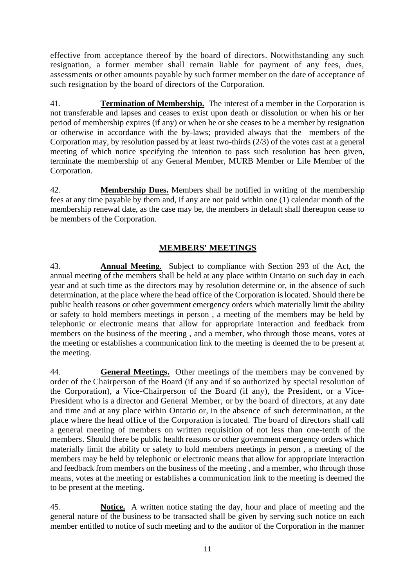effective from acceptance thereof by the board of directors. Notwithstanding any such resignation, a former member shall remain liable for payment of any fees, dues, assessments or other amounts payable by such former member on the date of acceptance of such resignation by the board of directors of the Corporation.

41. **Termination of Membership.** The interest of a member in the Corporation is not transferable and lapses and ceases to exist upon death or dissolution or when his or her period of membership expires (if any) or when he or she ceases to be a member by resignation or otherwise in accordance with the by-laws; provided always that the members of the Corporation may, by resolution passed by at least two-thirds (2/3) of the votes cast at a general meeting of which notice specifying the intention to pass such resolution has been given, terminate the membership of any General Member, MURB Member or Life Member of the Corporation.

42. **Membership Dues.** Members shall be notified in writing of the membership fees at any time payable by them and, if any are not paid within one (1) calendar month of the membership renewal date, as the case may be, the members in default shall thereupon cease to be members of the Corporation.

# **MEMBERS' MEETINGS**

43. **Annual Meeting.** Subject to compliance with Section 293 of the Act, the annual meeting of the members shall be held at any place within Ontario on such day in each year and at such time as the directors may by resolution determine or, in the absence of such determination, at the place where the head office of the Corporation islocated. Should there be public health reasons or other government emergency orders which materially limit the ability or safety to hold members meetings in person , a meeting of the members may be held by telephonic or electronic means that allow for appropriate interaction and feedback from members on the business of the meeting , and a member, who through those means, votes at the meeting or establishes a communication link to the meeting is deemed the to be present at the meeting.

44. **General Meetings.** Other meetings of the members may be convened by order of the Chairperson of the Board (if any and if so authorized by special resolution of the Corporation), a Vice-Chairperson of the Board (if any), the President, or a Vice-President who is a director and General Member, or by the board of directors, at any date and time and at any place within Ontario or, in the absence of such determination, at the place where the head office of the Corporation islocated. The board of directors shall call a general meeting of members on written requisition of not less than one-tenth of the members. Should there be public health reasons or other government emergency orders which materially limit the ability or safety to hold members meetings in person , a meeting of the members may be held by telephonic or electronic means that allow for appropriate interaction and feedback from members on the business of the meeting , and a member, who through those means, votes at the meeting or establishes a communication link to the meeting is deemed the to be present at the meeting.

45. **Notice.** A written notice stating the day, hour and place of meeting and the general nature of the business to be transacted shall be given by serving such notice on each member entitled to notice of such meeting and to the auditor of the Corporation in the manner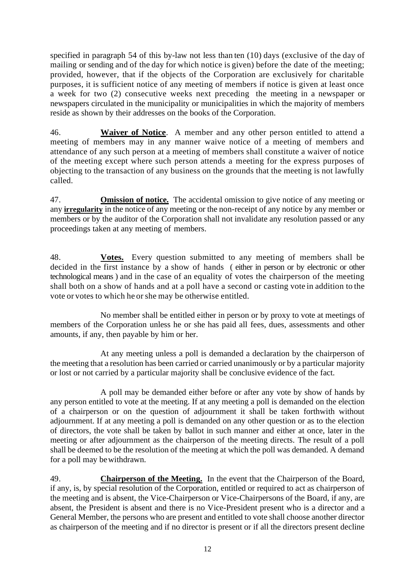specified in paragraph 54 of this by-law not less than ten (10) days (exclusive of the day of mailing or sending and of the day for which notice is given) before the date of the meeting; provided, however, that if the objects of the Corporation are exclusively for charitable purposes, it is sufficient notice of any meeting of members if notice is given at least once a week for two (2) consecutive weeks next preceding the meeting in a newspaper or newspapers circulated in the municipality or municipalities in which the majority of members reside as shown by their addresses on the books of the Corporation.

46. **Waiver of Notice**. A member and any other person entitled to attend a meeting of members may in any manner waive notice of a meeting of members and attendance of any such person at a meeting of members shall constitute a waiver of notice of the meeting except where such person attends a meeting for the express purposes of objecting to the transaction of any business on the grounds that the meeting is not lawfully called.

47. **Omission of notice.** The accidental omission to give notice of any meeting or any **irregularity** in the notice of any meeting or the non-receipt of any notice by any member or members or by the auditor of the Corporation shall not invalidate any resolution passed or any proceedings taken at any meeting of members.

48. **Votes.** Every question submitted to any meeting of members shall be decided in the first instance by a show of hands ( either in person or by electronic or other technological means ) and in the case of an equality of votes the chairperson of the meeting shall both on a show of hands and at a poll have a second or casting vote in addition to the vote or votes to which he orshe may be otherwise entitled.

No member shall be entitled either in person or by proxy to vote at meetings of members of the Corporation unless he or she has paid all fees, dues, assessments and other amounts, if any, then payable by him or her.

At any meeting unless a poll is demanded a declaration by the chairperson of the meeting that a resolution has been carried or carried unanimously or by a particular majority or lost or not carried by a particular majority shall be conclusive evidence of the fact.

A poll may be demanded either before or after any vote by show of hands by any person entitled to vote at the meeting. If at any meeting a poll is demanded on the election of a chairperson or on the question of adjournment it shall be taken forthwith without adjournment. If at any meeting a poll is demanded on any other question or as to the election of directors, the vote shall be taken by ballot in such manner and either at once, later in the meeting or after adjournment as the chairperson of the meeting directs. The result of a poll shall be deemed to be the resolution of the meeting at which the poll was demanded. A demand for a poll may bewithdrawn.

49. **Chairperson of the Meeting.** In the event that the Chairperson of the Board, if any, is, by special resolution of the Corporation, entitled or required to act as chairperson of the meeting and is absent, the Vice-Chairperson or Vice-Chairpersons of the Board, if any, are absent, the President is absent and there is no Vice-President present who is a director and a General Member, the persons who are present and entitled to vote shall choose another director as chairperson of the meeting and if no director is present or if all the directors present decline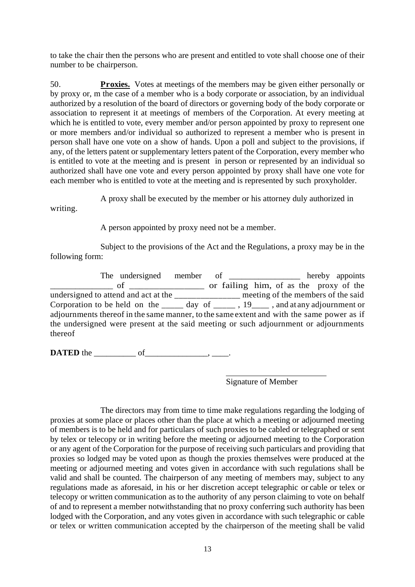to take the chair then the persons who are present and entitled to vote shall choose one of their number to be chairperson.

50. **Proxies.** Votes at meetings of the members may be given either personally or by proxy or, m the case of a member who is a body corporate or association, by an individual authorized by a resolution of the board of directors or governing body of the body corporate or association to represent it at meetings of members of the Corporation. At every meeting at which he is entitled to vote, every member and/or person appointed by proxy to represent one or more members and/or individual so authorized to represent a member who is present in person shall have one vote on a show of hands. Upon a poll and subject to the provisions, if any, of the letters patent or supplementary letters patent of the Corporation, every member who is entitled to vote at the meeting and is present in person or represented by an individual so authorized shall have one vote and every person appointed by proxy shall have one vote for each member who is entitled to vote at the meeting and is represented by such proxyholder.

A proxy shall be executed by the member or his attorney duly authorized in

writing.

A person appointed by proxy need not be a member.

Subject to the provisions of the Act and the Regulations, a proxy may be in the following form:

| The undersigned member of ________________                                                                                           |  |                                        | hereby appoints |
|--------------------------------------------------------------------------------------------------------------------------------------|--|----------------------------------------|-----------------|
|                                                                                                                                      |  | or failing him, of as the proxy of the |                 |
| undersigned to attend and act at the _____________ meeting of the members of the said                                                |  |                                        |                 |
| Corporation to be held on the $\frac{1}{\sqrt{2}}$ day of $\frac{1}{\sqrt{2}}$ , 19 $\frac{1}{\sqrt{2}}$ , and at any adjournment or |  |                                        |                 |
| adjournments thereof in the same manner, to the same extent and with the same power as if                                            |  |                                        |                 |
| the undersigned were present at the said meeting or such adjournment or adjournments                                                 |  |                                        |                 |
| thereof                                                                                                                              |  |                                        |                 |

**DATED** the \_\_\_\_\_\_\_\_\_\_ of\_\_\_\_\_\_\_\_\_\_\_\_\_\_\_, \_\_\_\_.

Signature of Member

The directors may from time to time make regulations regarding the lodging of proxies at some place or places other than the place at which a meeting or adjourned meeting of members is to be held and for particulars of such proxies to be cabled or telegraphed or sent by telex or telecopy or in writing before the meeting or adjourned meeting to the Corporation or any agent of the Corporation for the purpose of receiving such particulars and providing that proxies so lodged may be voted upon as though the proxies themselves were produced at the meeting or adjourned meeting and votes given in accordance with such regulations shall be valid and shall be counted. The chairperson of any meeting of members may, subject to any regulations made as aforesaid, in his or her discretion accept telegraphic or cable or telex or telecopy or written communication asto the authority of any person claiming to vote on behalf of and to represent a member notwithstanding that no proxy conferring such authority has been lodged with the Corporation, and any votes given in accordance with such telegraphic or cable or telex or written communication accepted by the chairperson of the meeting shall be valid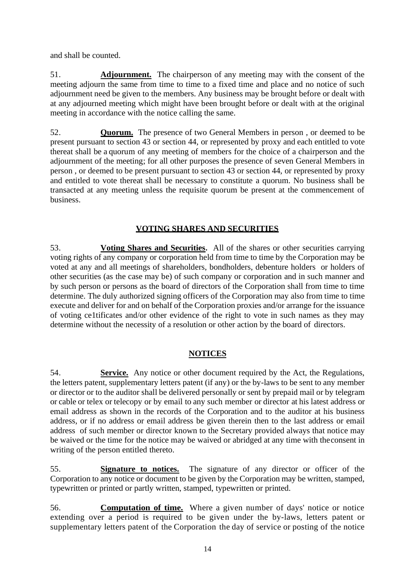and shall be counted.

51. **Adjournment.** The chairperson of any meeting may with the consent of the meeting adjourn the same from time to time to a fixed time and place and no notice of such adjournment need be given to the members. Any business may be brought before or dealt with at any adjourned meeting which might have been brought before or dealt with at the original meeting in accordance with the notice calling the same.

52. **Quorum.** The presence of two General Members in person , or deemed to be present pursuant to section 43 or section 44, or represented by proxy and each entitled to vote thereat shall be a quorum of any meeting of members for the choice of a chairperson and the adjournment of the meeting; for all other purposes the presence of seven General Members in person , or deemed to be present pursuant to section 43 or section 44, or represented by proxy and entitled to vote thereat shall be necessary to constitute a quorum. No business shall be transacted at any meeting unless the requisite quorum be present at the commencement of business.

## **VOTING SHARES AND SECURITIES**

53. **Voting Shares and Securities.** All of the shares or other securities carrying voting rights of any company or corporation held from time to time by the Corporation may be voted at any and all meetings of shareholders, bondholders, debenture holders or holders of other securities (as the case may be) of such company or corporation and in such manner and by such person or persons as the board of directors of the Corporation shall from time to time determine. The duly authorized signing officers of the Corporation may also from time to time execute and deliver for and on behalf of the Corporation proxies and/or arrange for the issuance of voting ce1tificates and/or other evidence of the right to vote in such names as they may determine without the necessity of a resolution or other action by the board of directors.

## **NOTICES**

54. **Service.** Any notice or other document required by the Act, the Regulations, the letters patent, supplementary letters patent (if any) or the by-laws to be sent to any member or director or to the auditor shall be delivered personally or sent by prepaid mail or by telegram or cable or telex or telecopy or by email to any such member or director at his latest address or email address as shown in the records of the Corporation and to the auditor at his business address, or if no address or email address be given therein then to the last address or email address of such member or director known to the Secretary provided always that notice may be waived or the time for the notice may be waived or abridged at any time with theconsent in writing of the person entitled thereto.

55. **Signature to notices.** The signature of any director or officer of the Corporation to any notice or document to be given by the Corporation may be written, stamped, typewritten or printed or partly written, stamped, typewritten or printed.

56. **Computation of time.** Where a given number of days' notice or notice extending over a period is required to be given under the by-laws, letters patent or supplementary letters patent of the Corporation the day of service or posting of the notice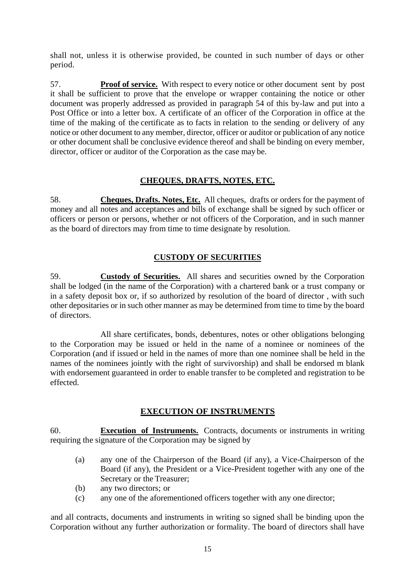shall not, unless it is otherwise provided, be counted in such number of days or other period.

57. **Proof of service.** With respect to every notice or other document sent by post it shall be sufficient to prove that the envelope or wrapper containing the notice or other document was properly addressed as provided in paragraph 54 of this by-law and put into a Post Office or into a letter box. A certificate of an officer of the Corporation in office at the time of the making of the certificate as to facts in relation to the sending or delivery of any notice or other document to any member, director, officer or auditor or publication of any notice or other document shall be conclusive evidence thereof and shall be binding on every member, director, officer or auditor of the Corporation as the case may be.

## **CHEQUES, DRAFTS, NOTES, ETC.**

58. **Cheques, Drafts. Notes, Etc.** All cheques, drafts or orders for the payment of money and all notes and acceptances and bills of exchange shall be signed by such officer or officers or person or persons, whether or not officers of the Corporation, and in such manner as the board of directors may from time to time designate by resolution.

# **CUSTODY OF SECURITIES**

59. **Custody of Securities.** All shares and securities owned by the Corporation shall be lodged (in the name of the Corporation) with a chartered bank or a trust company or in a safety deposit box or, if so authorized by resolution of the board of director , with such other depositaries or in such other manner as may be determined from time to time by the board of directors.

All share certificates, bonds, debentures, notes or other obligations belonging to the Corporation may be issued or held in the name of a nominee or nominees of the Corporation (and if issued or held in the names of more than one nominee shall be held in the names of the nominees jointly with the right of survivorship) and shall be endorsed m blank with endorsement guaranteed in order to enable transfer to be completed and registration to be effected.

# **EXECUTION OF INSTRUMENTS**

60. **Execution of Instruments.** Contracts, documents or instruments in writing requiring the signature of the Corporation may be signed by

- (a) any one of the Chairperson of the Board (if any), a Vice-Chairperson of the Board (if any), the President or a Vice-President together with any one of the Secretary or the Treasurer;
- (b) any two directors; or
- (c) any one of the aforementioned officers together with any one director;

and all contracts, documents and instruments in writing so signed shall be binding upon the Corporation without any further authorization or formality. The board of directors shall have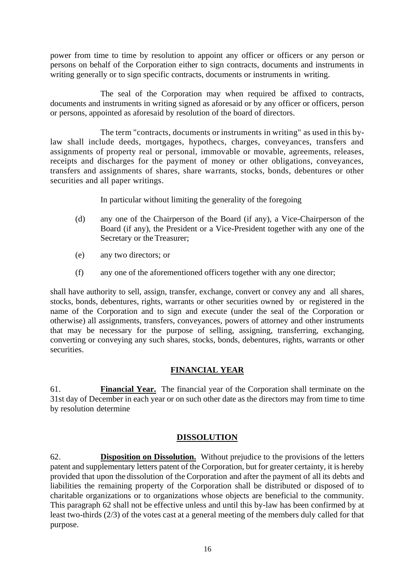power from time to time by resolution to appoint any officer or officers or any person or persons on behalf of the Corporation either to sign contracts, documents and instruments in writing generally or to sign specific contracts, documents or instruments in writing.

The seal of the Corporation may when required be affixed to contracts, documents and instruments in writing signed as aforesaid or by any officer or officers, person or persons, appointed as aforesaid by resolution of the board of directors.

The term "contracts, documents or instruments in writing" as used in this bylaw shall include deeds, mortgages, hypothecs, charges, conveyances, transfers and assignments of property real or personal, immovable or movable, agreements, releases, receipts and discharges for the payment of money or other obligations, conveyances, transfers and assignments of shares, share warrants, stocks, bonds, debentures or other securities and all paper writings.

In particular without limiting the generality of the foregoing

- (d) any one of the Chairperson of the Board (if any), a Vice-Chairperson of the Board (if any), the President or a Vice-President together with any one of the Secretary or the Treasurer;
- (e) any two directors; or
- (f) any one of the aforementioned officers together with any one director;

shall have authority to sell, assign, transfer, exchange, convert or convey any and all shares, stocks, bonds, debentures, rights, warrants or other securities owned by or registered in the name of the Corporation and to sign and execute (under the seal of the Corporation or otherwise) all assignments, transfers, conveyances, powers of attorney and other instruments that may be necessary for the purpose of selling, assigning, transferring, exchanging, converting or conveying any such shares, stocks, bonds, debentures, rights, warrants or other securities.

## **FINANCIAL YEAR**

61. **Financial Year.** The financial year of the Corporation shall terminate on the 31st day of December in each year or on such other date as the directors may from time to time by resolution determine

## **DISSOLUTION**

62. **Disposition on Dissolution.** Without prejudice to the provisions of the letters patent and supplementary letters patent of the Corporation, but for greater certainty, it is hereby provided that upon the dissolution of the Corporation and after the payment of all its debts and liabilities the remaining property of the Corporation shall be distributed or disposed of to charitable organizations or to organizations whose objects are beneficial to the community. This paragraph 62 shall not be effective unless and until this by-law has been confirmed by at least two-thirds (2/3) of the votes cast at a general meeting of the members duly called for that purpose.